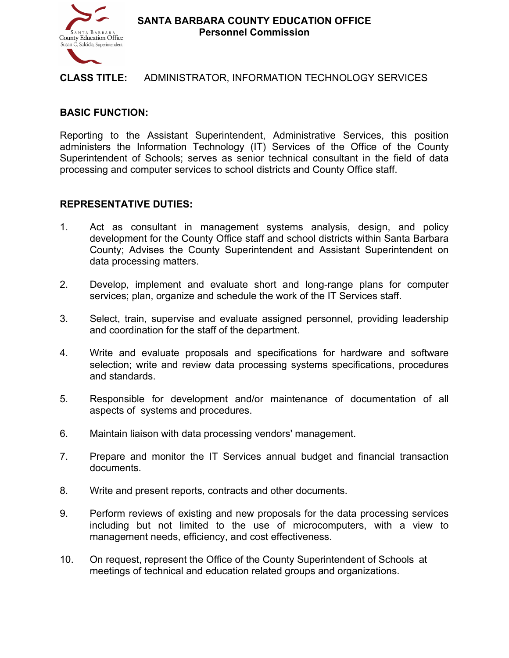

**SANTA BARBARA COUNTY EDUCATION OFFICE Personnel Commission** 

#### **CLASS TITLE:** ADMINISTRATOR, INFORMATION TECHNOLOGY SERVICES

## **BASIC FUNCTION:**

Reporting to the Assistant Superintendent, Administrative Services, this position administers the Information Technology (IT) Services of the Office of the County Superintendent of Schools; serves as senior technical consultant in the field of data processing and computer services to school districts and County Office staff.

#### **REPRESENTATIVE DUTIES:**

- 1. Act as consultant in management systems analysis, design, and policy development for the County Office staff and school districts within Santa Barbara County; Advises the County Superintendent and Assistant Superintendent on data processing matters.
- 2. Develop, implement and evaluate short and long-range plans for computer services; plan, organize and schedule the work of the IT Services staff.
- 3. Select, train, supervise and evaluate assigned personnel, providing leadership and coordination for the staff of the department.
- 4. Write and evaluate proposals and specifications for hardware and software selection; write and review data processing systems specifications, procedures and standards.
- 5. Responsible for development and/or maintenance of documentation of all aspects of systems and procedures.
- 6. Maintain liaison with data processing vendors' management.
- 7. Prepare and monitor the IT Services annual budget and financial transaction documents.
- 8. Write and present reports, contracts and other documents.
- 9. Perform reviews of existing and new proposals for the data processing services including but not limited to the use of microcomputers, with a view to management needs, efficiency, and cost effectiveness.
- 10. On request, represent the Office of the County Superintendent of Schools at meetings of technical and education related groups and organizations.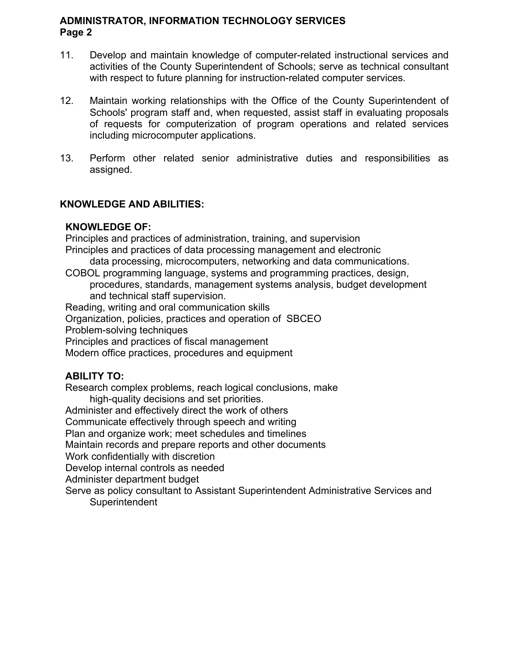## **Page 2 ADMINISTRATOR, INFORMATION TECHNOLOGY SERVICES**

- 11. Develop and maintain knowledge of computer-related instructional services and activities of the County Superintendent of Schools; serve as technical consultant with respect to future planning for instruction-related computer services.
- 12. Maintain working relationships with the Office of the County Superintendent of Schools' program staff and, when requested, assist staff in evaluating proposals of requests for computerization of program operations and related services including microcomputer applications.
- $13.$ 13. Perform other related senior administrative duties and responsibilities as assigned.

# **KNOWLEDGE AND ABILITIES:**

## **KNOWLEDGE OF:**

Principles and practices of administration, training, and supervision

Principles and practices of data processing management and electronic

data processing, microcomputers, networking and data communications.

 procedures, standards, management systems analysis, budget development COBOL programming language, systems and programming practices, design, and technical staff supervision.

Reading, writing and oral communication skills

Organization, policies, practices and operation of SBCEO

Problem-solving techniques

Principles and practices of fiscal management

Modern office practices, procedures and equipment

# **ABILITY TO:**

Research complex problems, reach logical conclusions, make

high-quality decisions and set priorities.

Administer and effectively direct the work of others

Communicate effectively through speech and writing

Plan and organize work; meet schedules and timelines

Maintain records and prepare reports and other documents

Work confidentially with discretion

Develop internal controls as needed

Administer department budget

Serve as policy consultant to Assistant Superintendent Administrative Services and **Superintendent**